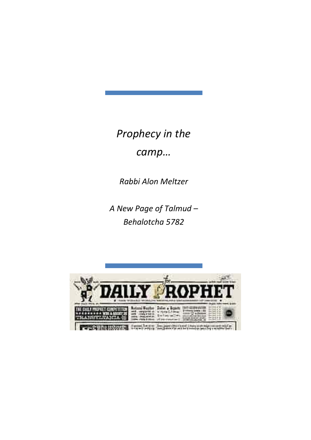*Prophecy in the* 

*camp…*

*Rabbi Alon Meltzer*

*A New Page of Talmud – Behalotcha 5782*